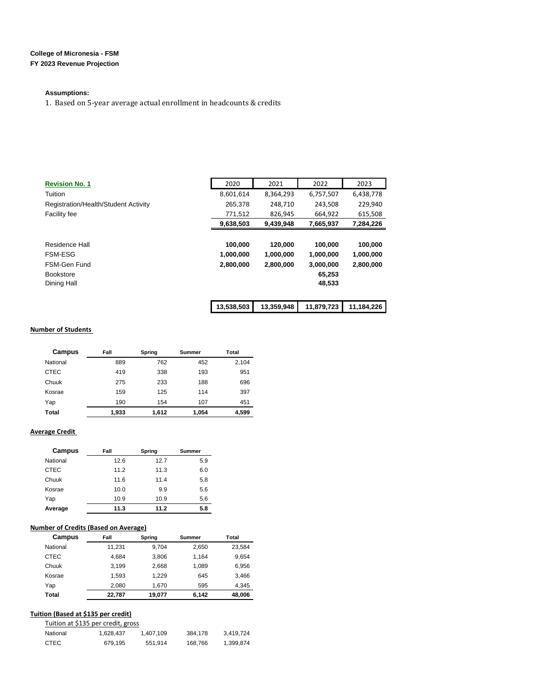# **Assumptions:**

1. Based on 5-year average actual enrollment in headcounts & credits

| <b>Revision No. 1</b>                | 2020       | 2021       | 2022       | 2023       |
|--------------------------------------|------------|------------|------------|------------|
| Tuition                              | 8,601,614  | 8,364,293  | 6,757,507  | 6,438,778  |
| Registration/Health/Student Activity | 265,378    | 248,710    | 243,508    | 229,940    |
| <b>Facility fee</b>                  | 771,512    | 826,945    | 664,922    | 615,508    |
|                                      | 9,638,503  | 9,439,948  | 7,665,937  | 7,284,226  |
|                                      |            |            |            |            |
| Residence Hall                       | 100,000    | 120,000    | 100,000    | 100,000    |
| <b>FSM-ESG</b>                       | 1,000,000  | 1,000,000  | 1,000,000  | 1,000,000  |
| FSM-Gen Fund                         | 2,800,000  | 2,800,000  | 3,000,000  | 2,800,000  |
| <b>Bookstore</b>                     |            |            | 65,253     |            |
| Dining Hall                          |            |            | 48,533     |            |
|                                      |            |            |            |            |
|                                      | 13,538,503 | 13,359,948 | 11,879,723 | 11,184,226 |

## **Number of Students**

| Campus      | Fall  | Spring | Summer | Total |
|-------------|-------|--------|--------|-------|
| National    | 889   | 762    | 452    | 2,104 |
| <b>CTEC</b> | 419   | 338    | 193    | 951   |
| Chuuk       | 275   | 233    | 188    | 696   |
| Kosrae      | 159   | 125    | 114    | 397   |
| Yap         | 190   | 154    | 107    | 451   |
| Total       | 1,933 | 1,612  | 1,054  | 4,599 |

### **Average Credit**

| Campus      | Fall | Spring | Summer |
|-------------|------|--------|--------|
| National    | 12.6 | 12.7   | 5.9    |
| <b>CTEC</b> | 11.2 | 11.3   | 6.0    |
| Chuuk       | 11.6 | 11.4   | 5.8    |
| Kosrae      | 10.0 | 9.9    | 5.6    |
| Yap         | 10.9 | 10.9   | 5.6    |
| Average     | 11.3 | 11.2   | 5.8    |

# **Number of Credits (Based on Average)**

| Campus      | Fall   | Spring | Summer | Total  |  |
|-------------|--------|--------|--------|--------|--|
| National    | 11.231 | 9.704  | 2.650  | 23,584 |  |
| <b>CTEC</b> | 4.684  | 3.806  | 1.164  | 9,654  |  |
| Chuuk       | 3.199  | 2.668  | 1.089  | 6,956  |  |
| Kosrae      | 1.593  | 1.229  | 645    | 3,466  |  |
| Yap         | 2.080  | 1.670  | 595    | 4.345  |  |
| Total       | 22,787 | 19,077 | 6.142  | 48.006 |  |

#### **Tuition (Based at \$135 per credit)** Tuition at \$135 per credit, gross

|          | TUILIOIT AL SISSI DEI CIEUIL, RIOSS |           |         |           |
|----------|-------------------------------------|-----------|---------|-----------|
| National | 1.628.437                           | 1.407.109 | 384.178 | 3.419.724 |
| CTEC.    | 679.195                             | 551.914   | 168.766 | 1.399.874 |